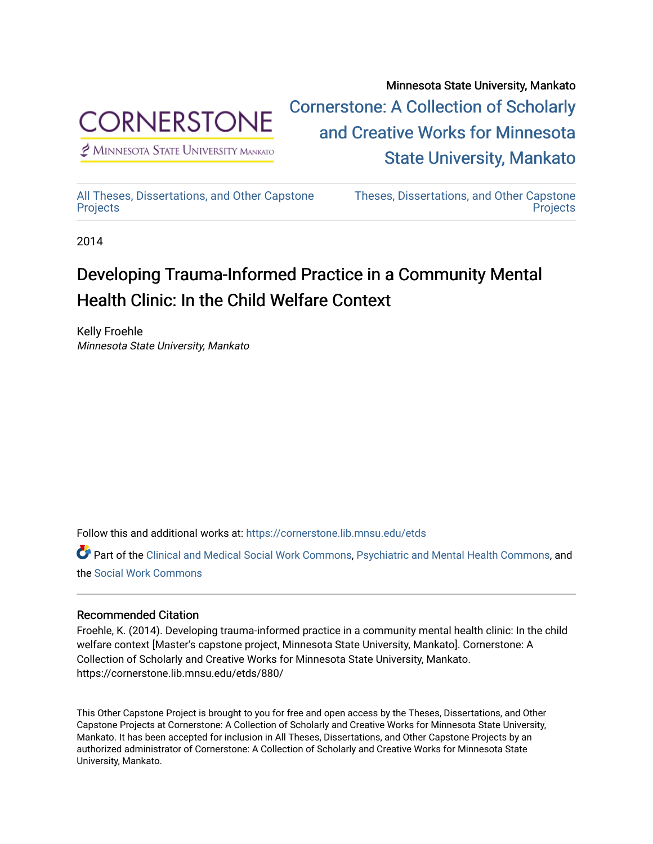

 $<sup>2</sup>$  Minnesota State University Mankato</sup>

Minnesota State University, Mankato [Cornerstone: A Collection of Scholarly](https://cornerstone.lib.mnsu.edu/)  [and Creative Works for Minnesota](https://cornerstone.lib.mnsu.edu/)  [State University, Mankato](https://cornerstone.lib.mnsu.edu/) 

[All Theses, Dissertations, and Other Capstone](https://cornerstone.lib.mnsu.edu/etds)  **[Projects](https://cornerstone.lib.mnsu.edu/etds)** 

[Theses, Dissertations, and Other Capstone](https://cornerstone.lib.mnsu.edu/theses_dissertations-capstone)  **Projects** 

2014

#### Developing Trauma-Informed Practice in a Community Mental Health Clinic: In the Child Welfare Context

Kelly Froehle Minnesota State University, Mankato

Follow this and additional works at: [https://cornerstone.lib.mnsu.edu/etds](https://cornerstone.lib.mnsu.edu/etds?utm_source=cornerstone.lib.mnsu.edu%2Fetds%2F880&utm_medium=PDF&utm_campaign=PDFCoverPages) 

Part of the [Clinical and Medical Social Work Commons,](http://network.bepress.com/hgg/discipline/712?utm_source=cornerstone.lib.mnsu.edu%2Fetds%2F880&utm_medium=PDF&utm_campaign=PDFCoverPages) [Psychiatric and Mental Health Commons,](http://network.bepress.com/hgg/discipline/711?utm_source=cornerstone.lib.mnsu.edu%2Fetds%2F880&utm_medium=PDF&utm_campaign=PDFCoverPages) and the [Social Work Commons](http://network.bepress.com/hgg/discipline/713?utm_source=cornerstone.lib.mnsu.edu%2Fetds%2F880&utm_medium=PDF&utm_campaign=PDFCoverPages) 

#### Recommended Citation

Froehle, K. (2014). Developing trauma-informed practice in a community mental health clinic: In the child welfare context [Master's capstone project, Minnesota State University, Mankato]. Cornerstone: A Collection of Scholarly and Creative Works for Minnesota State University, Mankato. https://cornerstone.lib.mnsu.edu/etds/880/

This Other Capstone Project is brought to you for free and open access by the Theses, Dissertations, and Other Capstone Projects at Cornerstone: A Collection of Scholarly and Creative Works for Minnesota State University, Mankato. It has been accepted for inclusion in All Theses, Dissertations, and Other Capstone Projects by an authorized administrator of Cornerstone: A Collection of Scholarly and Creative Works for Minnesota State University, Mankato.